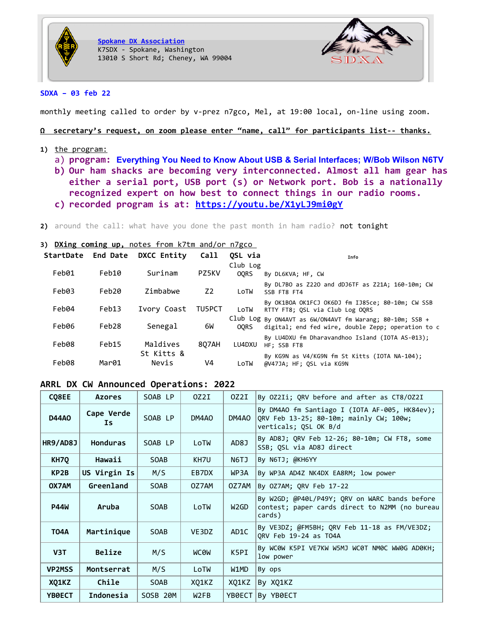



### **SDXA – 03 feb 22**

monthly meeting called to order by v-prez n7gco, Mel, at 19:00 local, on-line using zoom.

### **Ω s ecretary's request, on zoom please enter "name, call" for participants list-- thanks.**

- **1)** the program:
	- a) **program: Everything You Need to Know About USB & Serial Interfaces; W/Bob Wilson N6TV**
	- **b) Our ham shacks are becoming very interconnected. Almost all ham gear has either a serial port, USB port (s) or Network port. Bob is a nationally recognized expert on how best to connect things in our radio rooms.**
	- **c) recorded program is at: <https://youtu.be/X1yLJ9mi0gY>**
- 2) around the call: what have you done the past month in ham radio? not tonight

### **3) DXing coming up,** notes from k7tm and/or n7 gco

|       | <b>StartDate End Date</b> | DXCC Entity         | Call   | OSL via<br>Club Log | Info                                                                                                           |
|-------|---------------------------|---------------------|--------|---------------------|----------------------------------------------------------------------------------------------------------------|
| Feb01 | Feb10                     | Surinam             | PZ5KV  | OORS                | By DL6KVA; HF, CW                                                                                              |
| Feb03 | Feb20                     | Zimbabwe            | Z2     | LoTW                | By DL7BO as Z220 and dDJ6TF as Z21A; 160-10m; CW<br>SSB FT8 FT4                                                |
| Feb04 | Feb13                     | Ivory Coast         | TU5PCT | LoTW                | By OK1BOA OK1FCJ OK6DJ fm IJ85ce; 80-10m; CW SSB<br>RTTY FT8; OSL via Club Log OORS                            |
| Feb06 | Feb28                     | Senegal             | 6W     | <b>OORS</b>         | Club Log By ON4AVT as 6W/ON4AVT fm Warang; 80-10m; SSB +<br>digital; end fed wire, double Zepp; operation to c |
| Feb08 | Feb15                     | Maldives            | 807AH  | LU4DXU              | By LU4DXU fm Dharavandhoo Island (IOTA AS-013);<br>HF: SSB FT8                                                 |
| Feb08 | Mar01                     | St Kitts &<br>Nevis | V4     | LoTW                | By KG9N as V4/KG9N fm St Kitts (IOTA NA-104);<br>@V47JA; HF; QSL via KG9N                                      |

### **ARRL DX CW Announced Operations: 2022**

| CQ8EE             | <b>Azores</b>     | SOAB LP     | OZ2I             | 0Z2I              | By OZ2Ii; QRV before and after as CT8/OZ2I                                                                        |
|-------------------|-------------------|-------------|------------------|-------------------|-------------------------------------------------------------------------------------------------------------------|
| <b>D44A0</b>      | Cape Verde<br>Ιs. | SOAB LP     | DM4AO            | DM4AO             | By DM4AO fm Santiago I (IOTA AF-005, HK84ev);<br>QRV Feb 13-25; 80-10m; mainly CW; 100w;<br>verticals; QSL OK B/d |
| HR9/AD8J          | <b>Honduras</b>   | SOAB LP     | LoTW             | AD8J              | By AD8J; QRV Feb 12-26; 80-10m; CW FT8, some<br>SSB; QSL via AD8J direct                                          |
| KH7Q              | Hawaii            | <b>SOAB</b> | KH7U             | N6TJ              | By N6TJ; @KH6YY                                                                                                   |
| KP <sub>2</sub> B | US Virgin Is      | M/S         | EB7DX            | WP3A              | By WP3A AD4Z NK4DX EA8RM; low power                                                                               |
| OX7AM             | Greenland         | <b>SOAB</b> | OZ7AM            | OZ7AM             | By OZ7AM; QRV Feb 17-22                                                                                           |
| <b>P44W</b>       | Aruba             | <b>SOAB</b> | LoTW             | W <sub>2</sub> GD | By W2GD; @P40L/P49Y; QRV on WARC bands before<br>contest; paper cards direct to N2MM (no bureau<br>cards)         |
| <b>T04A</b>       | Martinique        | <b>SOAB</b> | VE3DZ            | AD1C              | By VE3DZ; @FM5BH; QRV Feb 11-18 as FM/VE3DZ;<br>QRV Feb 19-24 as T04A                                             |
| V <sub>3</sub> T  | Belize            | M/S         | <b>MCOM</b>      | K5PI              | By WC0W K5PI VE7KW W5MJ WC0T NM0C WW0G AD0KH;<br>low power                                                        |
| <b>VP2MSS</b>     | Montserrat        | M/S         | LoTW             | W1MD              | By ops                                                                                                            |
| XQ1KZ             | Chile             | <b>SOAB</b> | XQ1KZ            | XO1KZ             | By XQ1KZ                                                                                                          |
| YB0ECT            | Indonesia         | SOSB 20M    | W <sub>2FB</sub> | YB0ECT            | By YB0ECT                                                                                                         |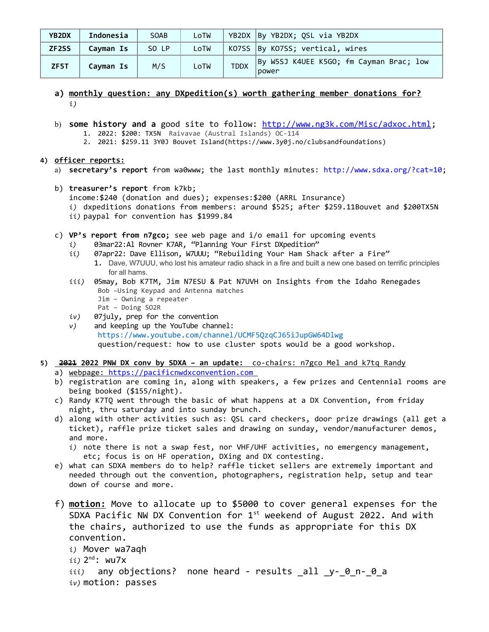| YB2DX              | Indonesia | <b>SOAB</b> | LoTW |             | YB2DX By YB2DX; QSL via YB2DX                    |
|--------------------|-----------|-------------|------|-------------|--------------------------------------------------|
| ZF <sub>2</sub> SS | Cavman Is | SO LP       | LoTW |             | KO7SS By KO7SS; vertical, wires                  |
| ZF5T               | Cayman Is | M/S         | LoTW | <b>TDDX</b> | By W5SJ K4UEE K5GO; fm Cayman Brac; low<br>power |

- **a) monthly question: any DXpedition(s) worth gathering member donations for?** *i)*
- b) **some history and a** good site to follow:<http://www.ng3k.com/Misc/adxoc.html>; 1. 2022: \$200: TX5N Raivavae (Austral Islands) OC-114
	- 2. 2021: \$259.11 3Y0J Bouvet Island(https://www.3y0j.no/clubsandfoundations)

# **4) officer reports:**

- a) **secretary's report** from wa0www; the last monthly minutes:<http://www.sdxa.org/?cat=10>;
- b) **treasurer's report** from k7kb; income:\$240 (donation and dues); expenses:\$200 (ARRL Insurance) *i)* dxpeditions donations from members: around \$525; after \$259.11Bouvet and \$200TX5N *ii)* paypal for convention has \$1999.84
- c) **VP's report from n7gco;** see web page and i/o email for upcoming events
	- *i)* 03mar22:Al Rovner K7AR, "Planning Your First DXpedition"
	- ii) 07apr22: Dave Ellison, W7UUU; "Rebuilding Your Ham Shack after a Fire" 1. Dave, W7UUU, who lost his amateur radio shack in a fire and built a new one based on terrific principles for all hams.
	- *iii)* 05may, Bob K7TM, Jim N7ESU & Pat N7UVH on Insights from the Idaho Renegades Bob –Using Keypad and Antenna matches Jim – Owning a repeater Pat – Doing SO2R
	- *iv)* 07july, prep for the convention
	- *v)* and keeping up the YouTube channel: <https://www.youtube.com/channel/UCMF5QzqCJ65iJupGW64Dlwg> question/request: how to use cluster spots would be a good workshop.
- 5) **2021 2022 PNW DX conv by SDXA an update:** co-chairs: n7gco Mel and k7tq Randy
	- a) webpage: [https://pacificnwdxconvention.com](https://pacificnwdxconvention.com/)
	- b) registration are coming in, along with speakers, a few prizes and Centennial rooms are being booked (\$155/night).
	- c) Randy K7TQ went through the basic of what happens at a DX Convention, from friday night, thru saturday and into sunday brunch.
	- d) along with other activities such as: QSL card checkers, door prize drawings (all get a ticket), raffle prize ticket sales and drawing on sunday, vendor/manufacturer demos, and more.
		- *i)* note there is not a swap fest, nor VHF/UHF activities, no emergency management, etc; focus is on HF operation, DXing and DX contesting.
	- e) what can SDXA members do to help? raffle ticket sellers are extremely important and needed through out the convention, photographers, registration help, setup and tear down of course and more.
	- f) **motion:** Move to allocate up to \$5000 to cover general expenses for the SDXA Pacific NW DX Convention for  $1<sup>st</sup>$  weekend of August 2022. And with the chairs, authorized to use the funds as appropriate for this DX convention.

```
i) Mover wa7aqh
ii) 2
nd: wu7x
iii) any objections? none heard - results all y-0 n-0 a
iv) motion: passes
```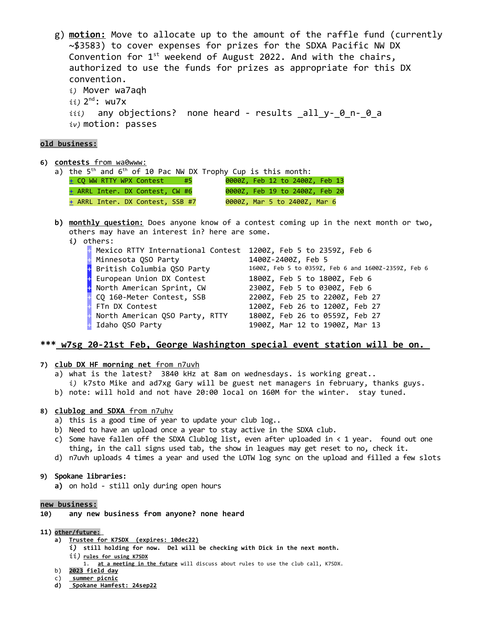g) **motion:** Move to allocate up to the amount of the raffle fund (currently ~\$3583) to cover expenses for prizes for the SDXA Pacific NW DX Convention for  $1^{st}$  weekend of August 2022. And with the chairs, authorized to use the funds for prizes as appropriate for this DX convention. *i)* Mover wa7aqh *ii)* 2 nd: wu7x *iii)* any objections? none heard - results \_all\_y-\_0\_n-\_0\_a *iv)* motion: passes

### **old business:**

**6) c ontests** from wa0www:

| a) the $5th$ and $6th$ of 10 Pac NW DX Trophy Cup is this month: |      |  |                                |  |
|------------------------------------------------------------------|------|--|--------------------------------|--|
| + CQ WW RTTY WPX Contest                                         | \ #5 |  | 0000Z, Feb 12 to 2400Z, Feb 13 |  |
| + ARRL Inter. DX Contest, CW #6                                  |      |  | 0000Z, Feb 19 to 2400Z, Feb 20 |  |
| + ARRL Inter. DX Contest, SSB #7                                 |      |  | 0000Z, Mar 5 to 2400Z, Mar 6   |  |

- **b) monthly question:** Does anyone know of a contest coming up in the next month or two, others may have an interest in? here are some.
	- *i)* others:

|                                         | 1400Z-2400Z, Feb 5                                                                                                                                            |
|-----------------------------------------|---------------------------------------------------------------------------------------------------------------------------------------------------------------|
|                                         | 1600Z, Feb 5 to 0359Z, Feb 6 and 1600Z-2359Z, Feb 6                                                                                                           |
|                                         | 1800Z, Feb 5 to 1800Z, Feb 6                                                                                                                                  |
| + North American Sprint, CW             | 2300Z, Feb 5 to 0300Z, Feb 6                                                                                                                                  |
| <b>CQ 160-Meter Contest, SSB</b>        | 2200Z, Feb 25 to 2200Z, Feb 27                                                                                                                                |
| + FTn DX Contest                        | 1200Z, Feb 26 to 1200Z, Feb 27                                                                                                                                |
| <b>B</b> North American QSO Party, RTTY | 1800Z, Feb 26 to 0559Z, Feb 27                                                                                                                                |
| <b>H</b> Idaho QSO Party                | 1900Z, Mar 12 to 1900Z, Mar 13                                                                                                                                |
|                                         | Mexico RTTY International Contest 1200Z, Feb 5 to 2359Z, Feb 6<br><b>H</b> Minnesota QSO Party<br>+ British Columbia QSO Party<br>+ European Union DX Contest |

## **\*\*\* w7sg 20-21st Feb , George Washington special event station will be on.**

- **7) club DX HF morning net** from n7uvh
	- a) what is the latest? 3840 kHz at 8am on wednesdays. is working great..
	- *i)* k7sto Mike and ad7xg Gary will be guest net managers in february, thanks guys. b) note: will hold and not have 20:00 local on 160M for the winter. stay tuned.
- **8) clublog and SDXA** from n7uhv
	- a) this is a good time of year to update your club log..
	- b) Need to have an upload once a year to stay active in the SDXA club.
	- c) Some have fallen off the SDXA Clublog list, even after uploaded in  $\langle 1 \rangle$  year. found out one thing, in the call signs used tab, the show in leagues may get reset to no, check it.
	- d) n7uvh uploads 4 times a year and used the LOTW log sync on the upload and filled a few slots
- **9) Spokane libraries:**
	- **a)** on hold still only during open hours

#### **new business:**

- **10) any new business from anyone? none heard**
- **11) other/future:** 
	- **a) Trustee for K7SDX (expires: 10dec22)**
		- *i)* **still holding for now. Del will be checking with Dick in the next month.**  *ii)* **rules for using K7SDX**
			- 1. **at a meeting in the future** will discuss about rules to use the club call, K7SDX.
	- b) 2023 field day
	- c) **s ummer picnic**
	- **d) Spokane Hamfest: 24sep22**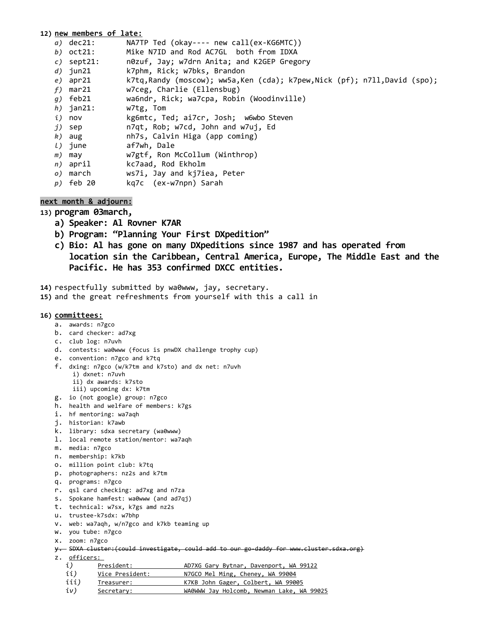## **12) new members of late:** *a)* dec21: NA7TP Ted (okay---- new call(ex-KG6MTC)) *b)* oct21: Mike N7ID and Rod AC7GL both from IDXA<br>*c)* sept21: n0zuf, Jay; w7drn Anita; and K2GEP Grego n0zuf, Jay; w7drn Anita; and K2GEP Gregory<br>k7phm\_\_Rick: w7bks\_\_Brandon *d)* jun21 k7phm, Rick; w7bks, Brandon *e)* apr21 k7tq,Randy (moscow); ww5a,Ken (cda); k7pew,Nick (pf); n7ll,David (spo); e) apr21 k7tq, Randy (moscow); ww5a,<br> *f*) mar21 w7ceg, Charlie (Ellensbug) *g)* feb21 wa6ndr, Rick; wa7cpa, Robin (Woodinville) *h)* jan21: w7tg, Tom *i)* nov kg6mtc, Ted; ai7cr, Josh; w6wbo Steven *j)* sep n7qt, Rob; w7cd, John and w7uj, Ed *k)* aug nh7s, Calvin Higa (app coming) *l)* june af7wh, Dale *m)* may w7gtf, Ron McCollum (Winthrop) *n)* april kc7aad, Rod Ekholm *o)* march ws7i, Jay and kj7iea, Peter *p)* feb 20 kq7c (ex-w7npn) Sarah

## **next month & adjourn:**

**13) program 03march,**

- **a) Speaker: Al Rovner K7AR**
- **b) Program: "Planning Your First DXpedition"**
- **c) Bio: Al has gone on many DXpeditions since 1987 and has operated from location sin the Caribbean, Central America, Europe, The Middle East and the Pacific. He has 353 confirmed DXCC entities.**

**14)** respectfully submitted by wa0www, jay, secretary.

**15)** and the great refreshments from yourself with this a call in

### **16) committees:**

- a. awards: n7gco
- b. card checker: ad7xg
- c. club log: n7uvh
- d. contests: wa0www (focus is pnwDX challenge trophy cup)
- e. convention: n7gco and k7tq
- f. dxing: n7gco (w/k7tm and k7sto) and dx net: n7uvh
	- i) dxnet: n7uvh
	- ii) dx awards: k7sto
	- iii) upcoming dx: k7tm
- g. io (not google) group: n7gco
- h. health and welfare of members: k7gs
- i. hf mentoring: wa7aqh
- j. historian: k7awb
- k. library: sdxa secretary (wa0www)
- l. local remote station/mentor: wa7aqh
- m. media: n7gco
- n. membership: k7kb
- o. million point club: k7tq
- p. photographers: nz2s and k7tm
- q. programs: n7gco
- r. qsl card checking: ad7xg and n7za
- s. Spokane hamfest: wa0www (and ad7qj)
- t. technical: w7sx, k7gs amd nz2s
- u. trustee-k7sdx: w7bhp
- v. web: wa7aqh, w/n7gco and k7kb teaming up
- w. you tube: n7gco
- x. zoom: n7gco
- y. SDXA cluster:(could investigate, could add to our go-daddy for www.cluster.sdxa.org)
- z. officers:
	- *i*) President: AD7XG Gary Bytnar, Davenport, WA 99122
	- ii) Vice President: N7GCO Mel Ming, Cheney, WA 99004
	- iii) Treasurer: K7KB John Gager, Colbert, WA 99005
	- *iv)* Secretary: WA0WWW Jay Holcomb, Newman Lake, WA 99025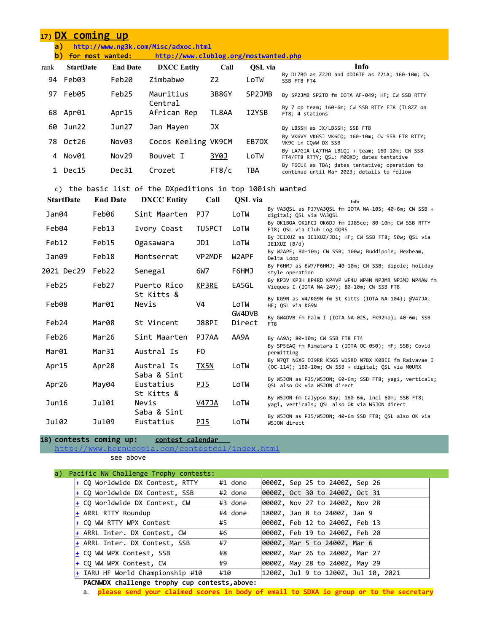|      | 17) DX coming up |                 |                                       |       |         |                                                                                              |
|------|------------------|-----------------|---------------------------------------|-------|---------|----------------------------------------------------------------------------------------------|
| a)   |                  |                 | http://www.ng3k.com/Misc/adxoc.html   |       |         |                                                                                              |
| b)   | for most wanted: |                 | http://www.clublog.org/mostwanted.php |       |         |                                                                                              |
| rank | <b>StartDate</b> | <b>End Date</b> | <b>DXCC</b> Entity                    | Call  | OSL via | Info                                                                                         |
|      | 94 Feb03         | Feb20           | Zimbabwe                              | Z2    | LoTW    | By DL7BO as Z220 and dDJ6TF as Z21A; 160-10m; CW<br>SSB FT8 FT4                              |
|      | 97 Feb05         | Feb25           | Mauritius                             | 3B8GY | SP2JMB  | By SP2JMB SP2TO fm IOTA AF-049; HF; CW SSB RTTY                                              |
|      | 68 Apr01         | Apr15           | Central<br>African Rep                | TL8AA | I2YSB   | By 7 op team; 160-6m; CW SSB RTTY FT8 (TL8ZZ on<br>FT8; 4 stations                           |
| 60   | Jun22            | Jun27           | Jan Mayen                             | JХ    |         | By LB5SH as JX/LB5SH; SSB FT8                                                                |
|      | 78 Oct26         | Nov03           | Cocos Keeling VK9CM                   |       | EB7DX   | By VK6VY VK6SJ VK6CQ; 160-10m; CW SSB FT8 RTTY;<br>VK9C in CQWW DX SSB                       |
|      | 4 Nov01          | Nov29           | Bouvet I                              | 3Y0J  | LoTW    | By LA7GIA LA7THA LB10I + team; 160-10m; CW SSB<br>FT4/FT8 RTTY; QSL: M00XO; dates tentative  |
|      | Dec15            | Dec31           | Crozet                                | FT8/c | TBA     | By F6CUK as TBA; dates tentative; operation to<br>continue until Mar 2023; details to follow |

# c) the basic list of the DXpeditions in top 100ish wanted

| <b>StartDate</b> | <b>End Date</b> | <b>DXCC</b> Entity       | Call        | QSL via          | Info                                                                                                         |
|------------------|-----------------|--------------------------|-------------|------------------|--------------------------------------------------------------------------------------------------------------|
| Jan04            | Feb06           | Sint Maarten             | PJ7         | LoTW             | By VA30SL as PJ7VA30SL fm IOTA NA-105; 40-6m; CW SSB +<br>digital; OSL via VA3OSL                            |
| Feb04            | Feb13           | Ivory Coast              | TU5PCT      | LoTW             | By OK1BOA OK1FCJ OK6DJ fm IJ85ce; 80-10m; CW SSB RTTY<br>FT8; QSL via Club Log OQRS                          |
| Feb12            | Feb15           | Ogasawara                | JD1         | LoTW             | By JE1XUZ as JE1XUZ/JD1; HF; CW SSB FT8; 50w; QSL via<br>JE1XUZ (B/d)                                        |
| Jan09            | Feb18           | Montserrat               | VP2MDF      | W2APF            | By W2APF; 80-10m; CW SSB; 100w; Buddipole, Hexbeam,<br>Delta Loop                                            |
| 2021 Dec29       | Feb22           | Senegal                  | 6W7         | F6HMJ            | By F6HMJ as 6W7/F6HMJ; 40-10m; CW SSB; dipole; holiday<br>style operation                                    |
| Feb25            | Feb27           | Puerto Rico              | KP3RE       | EA5GL            | By KP3V KP3H KP4RD KP4VP WP4U WP4N NP3MR NP3MJ WP4AW fm<br>Vieques I (IOTA NA-249); 80-10m; CW SSB FT8       |
| Feb08            | Mar01           | St Kitts &<br>Nevis      | V4          | LoTW             | By KG9N as V4/KG9N fm St Kitts (IOTA NA-104); @V47JA;<br>HF; OSL via KG9N                                    |
| Feb24            | Mar08           | St Vincent               | J88PI       | GW4DVB<br>Direct | By GW4DVB fm Palm I (IOTA NA-025, FK92ho); 40-6m; SSB<br>FT8                                                 |
| Feb26            | Mar26           | Sint Maarten             | PJ7AA       | AA9A             | By AA9A; 80-10m; CW SSB FT8 FT4                                                                              |
| Mar01            | Mar31           | Austral Is               | <u>FO</u>   |                  | By SP5EAQ fm Rimatara I (IOTA OC-050); HF; SSB; Covid<br>permitting                                          |
| Apr15            | Apr28           | Austral Is               | <b>TX5N</b> | LoTW             | By N7QT N6XG DJ9RR K5GS W1SRD N7BX KØBEE fm Raivavae I<br>(OC-114); 160-10m; CW SSB + digital; OSL via M0URX |
| Apr26            | May04           | Saba & Sint<br>Eustatius | PJ5         | LoTW             | By W5JON as PJ5/W5JON; 60-6m; SSB FT8; yagi, verticals;<br>OSL also OK via W5JON direct                      |
| Jun16            | Ju101           | St Kitts &<br>Nevis      | V47JA       | LoTW             | By W5JON fm Calypso Bay; 160-6m, incl 60m; SSB FT8;<br>yagi, verticals; QSL also OK via W5JON direct         |
| Ju102            | Ju109           | Saba & Sint<br>Eustatius | PJ5         | LoTW             | By W5JON as PJ5/W5JON; 40-6m SSB FT8; OSL also OK via<br>W5JON direct                                        |

**18) contests coming up: contest calendar** 

<http://www.hornucopia.com/contestcal/index.html>

see above

| Pacific NW Challenge Trophy contests:                              |                                            |
|--------------------------------------------------------------------|--------------------------------------------|
| + CQ Worldwide DX Contest, RTTY                                    | #1 done<br>0000Z, Sep 25 to 2400Z, Sep 26  |
| CQ Worldwide DX Contest, SSB                                       | #2 done<br>0000Z, Oct 30 to 2400Z, Oct 31  |
| <u>+</u> CQ Worldwide DX Contest, CW                               | #3 done<br>0000Z, Nov 27 to 2400Z, Nov 28  |
| ARRL RTTY Roundup                                                  | #4 done<br> 1800Z, Jan 8 to 2400Z, Jan 9   |
| + CO WW RTTY WPX Contest                                           | #5<br>0000Z, Feb 12 to 2400Z, Feb 13       |
| + ARRL Inter. DX Contest, CW                                       | #6<br>0000Z, Feb 19 to 2400Z, Feb 20       |
| ARRL Inter. DX Contest, SSB                                        | #7<br>0000Z, Mar 5 to 2400Z, Mar 6         |
| CQ WW WPX Contest, SSB                                             | #8<br>0000Z, Mar 26 to 2400Z, Mar 27       |
| CO WW WPX Contest, CW                                              | #9<br>0000Z, May 28 to 2400Z, May 29       |
| IARU HF World Championship #10                                     | #10<br>1200Z, Jul 9 to 1200Z, Jul 10, 2021 |
| $MC W W W W W W W W W W W W W W W W W W W W W W W W W W W W W W W$ |                                            |

**PACNWDX challenge trophy cup contests,above:**

a. **please send your claimed scores in body of email to SDXA io group or to the secretary**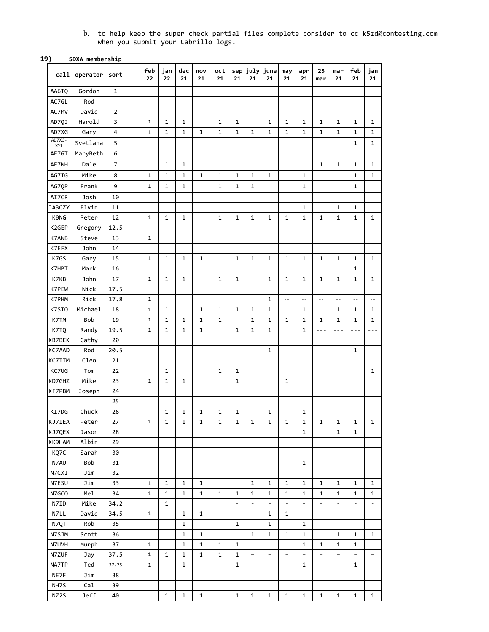b. to help keep the super check partial files complete consider to cc <u>[k5zd@contesting.com](mailto:k5zd@contesting.com)</u> when you submit your Cabrillo logs.

#### **19) SDXA membership**

| call             | operator       | sort     | feb<br>22    | jan<br>22    | dec<br>21    | nov<br>21    | oct<br>21                | 21                       | 21                       | sep july june<br>21      | may<br>21                | apr<br>21                | 25<br>mar                | mar<br>21                | feb<br>21                | jan<br>21                |
|------------------|----------------|----------|--------------|--------------|--------------|--------------|--------------------------|--------------------------|--------------------------|--------------------------|--------------------------|--------------------------|--------------------------|--------------------------|--------------------------|--------------------------|
| AA6TQ            | Gordon         | 1        |              |              |              |              |                          |                          |                          |                          |                          |                          |                          |                          |                          |                          |
| AC7GL            | Rod            |          |              |              |              |              | $\overline{\phantom{0}}$ | $\overline{\phantom{a}}$ | $\overline{\phantom{a}}$ | $\overline{\phantom{a}}$ | $\overline{\phantom{a}}$ | $\overline{\phantom{0}}$ | $\overline{\phantom{0}}$ | $\overline{\phantom{0}}$ | $\qquad \qquad -$        | $\qquad \qquad -$        |
| AC7MV            | David          | 2        |              |              |              |              |                          |                          |                          |                          |                          |                          |                          |                          |                          |                          |
| AD7QJ            | Harold         | 3        | $\mathbf{1}$ | 1            | 1            |              | $\mathbf{1}$             | 1                        |                          | 1                        | 1                        | 1                        | 1                        | 1                        | 1                        | 1                        |
| AD7XG            | Gary           | 4        | $\mathbf{1}$ | $\mathbf{1}$ | $\mathbf{1}$ | 1            | $\mathbf{1}$             | $\mathbf 1$              | 1                        | 1                        | 1                        | 1                        | 1                        | 1                        | 1                        | 1                        |
| AD7XG-<br>XYL    | Svetlana       | 5        |              |              |              |              |                          |                          |                          |                          |                          |                          |                          |                          | $\mathbf{1}$             | 1                        |
| AE7GT            | MaryBeth       | 6        |              |              |              |              |                          |                          |                          |                          |                          |                          |                          |                          |                          |                          |
| AF7WH            | Dale           | 7        |              | 1            | $\mathbf{1}$ |              |                          |                          |                          |                          |                          |                          | $\mathbf{1}$             | $\mathbf{1}$             | 1                        | 1                        |
| AG7IG            | Mike           | 8        | 1            | 1            | 1            | 1            | $\mathbf{1}$             | 1                        | 1                        | 1                        |                          | 1                        |                          |                          | 1                        | 1                        |
| AG7QP            | Frank          | 9        | $\mathbf{1}$ | 1            | 1            |              | $\mathbf{1}$             | 1                        | 1                        |                          |                          | 1                        |                          |                          | $\mathbf 1$              |                          |
| AI7CR            | Josh           | 10       |              |              |              |              |                          |                          |                          |                          |                          |                          |                          |                          |                          |                          |
| JA3CZY           | Elvin          | 11       |              |              |              |              |                          |                          |                          |                          |                          | $\mathbf 1$              |                          | $\mathbf{1}$             | $\mathbf{1}$             |                          |
| <b>KØNG</b>      | Peter          | 12       | $\mathbf{1}$ | $\mathbf{1}$ | $\mathbf{1}$ |              | $\mathbf{1}$             | 1                        | 1                        | 1                        | 1                        | $\mathbf{1}$             | 1                        | 1                        | $\mathbf{1}$             | 1                        |
| K2GEP            | Gregory        | 12.5     |              |              |              |              |                          | $-$                      | $ -$                     | $ -$                     | $ -$                     | $ -$                     | $ -$                     | $-$                      | $ -$                     | $ -$                     |
| K7AWB            | Steve          | 13       | $\mathbf{1}$ |              |              |              |                          |                          |                          |                          |                          |                          |                          |                          |                          |                          |
| K7EFX            | John           | 14       |              |              |              |              |                          |                          |                          |                          |                          |                          |                          |                          |                          |                          |
| K7GS             | Gary           | 15       | $\mathbf{1}$ | $\mathbf{1}$ | 1            | $\mathbf{1}$ |                          | $\mathbf 1$              | 1                        | $\mathbf{1}$             | $\mathbf{1}$             | 1                        | 1                        | 1                        | 1                        | 1                        |
| K7HPT            | Mark           | 16       |              |              |              |              |                          |                          |                          |                          |                          |                          |                          |                          | 1                        |                          |
| K7KB             | <b>John</b>    | 17       | $\mathbf{1}$ | 1            | 1            |              | $\mathbf{1}$             | 1                        |                          | $\mathbf{1}$             | $\mathbf{1}$             | 1                        | 1                        | 1                        | 1                        | 1                        |
| K7PEW            | Nick           | 17.5     |              |              |              |              |                          |                          |                          |                          | $\sim$ $-$               | $ -$                     | $\sim$ $-$               | $-$                      | $ -$                     | $\sim$ $-$               |
| K7PHM            | Rick           | 17.8     | $\mathbf{1}$ |              |              |              |                          |                          |                          | 1                        | $ -$                     | $- -$                    | $\overline{\phantom{a}}$ | $ -$                     | $ -$                     | $\sim$ $-$               |
| K7ST0            | Michael        | 18       | $\mathbf{1}$ | 1            |              | 1            | $\mathbf{1}$             | 1                        | 1                        | 1                        |                          | 1                        |                          | 1                        | 1                        | 1                        |
| K7TM             | Bob            | 19       | $\mathbf 1$  | 1            | $\mathbf{1}$ | $\mathbf{1}$ | $\mathbf{1}$             |                          | 1                        | 1                        | $\mathbf{1}$             | $\mathbf{1}$             | $\mathbf{1}$             | 1                        | 1                        | $\mathbf{1}$             |
|                  |                | 19.5     | $\mathbf{1}$ | 1            | 1            | 1            |                          | $\mathbf{1}$             | 1                        | 1                        |                          | 1                        | ---                      | $- - -$                  | $- - -$                  | $- - -$                  |
| K7TQ<br>KB7BEK   | Randy          | 20       |              |              |              |              |                          |                          |                          |                          |                          |                          |                          |                          |                          |                          |
|                  | Cathy<br>Rod   | 20.5     |              |              |              |              |                          |                          |                          | 1                        |                          |                          |                          |                          | 1                        |                          |
| KC7AAD<br>KC7TTM | Cleo           | 21       |              |              |              |              |                          |                          |                          |                          |                          |                          |                          |                          |                          |                          |
| KC7UG            | Tom            | 22       |              | 1            |              |              | $\mathbf{1}$             | $\mathbf{1}$             |                          |                          |                          |                          |                          |                          |                          | 1                        |
| KD7GHZ           | Mike           |          | $\mathbf 1$  | $\mathbf{1}$ | $\mathbf{1}$ |              |                          | $\mathbf{1}$             |                          |                          |                          |                          |                          |                          |                          |                          |
| KF7PBM           | Joseph         | 23<br>24 |              |              |              |              |                          |                          |                          |                          | 1                        |                          |                          |                          |                          |                          |
|                  |                | 25       |              |              |              |              |                          |                          |                          |                          |                          |                          |                          |                          |                          |                          |
| KI7DG            | Chuck          | 26       |              | 1            | 1            | 1            | $\mathbf{1}$             | 1                        |                          | $\mathbf{1}$             |                          | 1                        |                          |                          |                          |                          |
|                  |                |          | 1            |              |              |              |                          |                          |                          |                          |                          |                          |                          |                          |                          |                          |
| KJ7IEA<br>KJ7QEX | Peter<br>Jason | 27<br>28 |              | 1            | 1            | 1            | 1                        | 1                        | 1                        | 1                        | 1                        | 1<br>$\mathbf 1$         | 1                        | 1<br>$\mathbf{1}$        | 1<br>1                   | 1                        |
| KK9HAM           | Albin          | 29       |              |              |              |              |                          |                          |                          |                          |                          |                          |                          |                          |                          |                          |
| KQ7C             | Sarah          | 30       |              |              |              |              |                          |                          |                          |                          |                          |                          |                          |                          |                          |                          |
| N7AU             | Bob            | 31       |              |              |              |              |                          |                          |                          |                          |                          | 1                        |                          |                          |                          |                          |
| N7CXI            | Jim            | 32       |              |              |              |              |                          |                          |                          |                          |                          |                          |                          |                          |                          |                          |
| N7ESU            | Jim            | 33       | $\mathbf{1}$ | 1            | $\mathbf{1}$ | $\mathbf{1}$ |                          |                          | 1                        | $\mathbf{1}$             | 1                        | 1                        | 1                        | $\mathbf{1}$             | 1                        | 1                        |
| N7GCO            | Me1            | 34       | $\mathbf 1$  | $\mathbf{1}$ | $\mathbf{1}$ | $\mathbf 1$  | $\mathbf{1}$             | $\mathbf{1}$             | 1                        | 1                        | $\mathbf 1$              | 1                        | 1                        | 1                        | $\mathbf{1}$             | 1                        |
| N7ID             | Mike           | 34.2     |              | $\mathbf{1}$ |              |              |                          | $\qquad \qquad -$        | $\qquad \qquad -$        | $\qquad \qquad -$        | $\overline{\phantom{a}}$ | $\overline{\phantom{0}}$ | $\qquad \qquad -$        | $\overline{\phantom{0}}$ | $\overline{\phantom{0}}$ | $\qquad \qquad -$        |
| N7LL             | David          | 34.5     | $\mathbf 1$  |              | $\mathbf{1}$ | $\mathbf{1}$ |                          |                          |                          | 1                        | $\mathbf{1}$             | $\sim$ $-$               | $\sim$ $-$               | $\sim$ $-$               | $\sim$ $-$               | $- -$                    |
| N7QT             | Rob            | 35       |              |              | $\mathbf{1}$ |              |                          | $\mathbf{1}$             |                          | 1                        |                          | $\mathbf{1}$             |                          |                          |                          |                          |
| N7SJM            | Scott          | 36       |              |              | $\mathbf{1}$ | $\mathbf{1}$ |                          |                          | 1                        | $\mathbf{1}$             | $\mathbf{1}$             | $\mathbf{1}$             |                          | 1                        | $\mathbf{1}$             | 1                        |
| N7UVH            | Murph          | 37       | $\mathbf{1}$ |              | $\mathbf{1}$ | $\mathbf{1}$ | $\mathbf{1}$             | 1                        |                          |                          |                          | $\mathbf{1}$             | 1                        | $\mathbf{1}$             | $\mathbf{1}$             |                          |
| N7ZUF            | Jay            | 37.5     | $\mathbf{1}$ | $\mathbf{1}$ | $\mathbf{1}$ | $\mathbf{1}$ | $\mathbf 1$              | $\mathbf{1}$             | $\qquad \qquad -$        | $\qquad \qquad -$        |                          |                          | $\qquad \qquad -$        | $\qquad \qquad -$        |                          | $\overline{\phantom{0}}$ |
| NA7TP            | Ted            | 37.75    | $\mathbf{1}$ |              | $\mathbf{1}$ |              |                          | $\mathbf{1}$             |                          |                          |                          | 1                        |                          |                          | $\mathbf{1}$             |                          |
| NE7F             | Jim            | 38       |              |              |              |              |                          |                          |                          |                          |                          |                          |                          |                          |                          |                          |
| NH7S             | Cal            | 39       |              |              |              |              |                          |                          |                          |                          |                          |                          |                          |                          |                          |                          |
|                  |                |          |              |              |              |              |                          |                          |                          |                          |                          |                          |                          |                          |                          |                          |
| NZ2S             | Jeff           | 40       |              | $\mathbf{1}$ | $\mathbf{1}$ | $\mathbf{1}$ |                          | $\mathbf{1}$             | 1                        | $\mathbf{1}$             | $\mathbf{1}$             | 1                        | $\mathbf{1}$             | $\mathbf{1}$             | 1                        | $\mathbf{1}$             |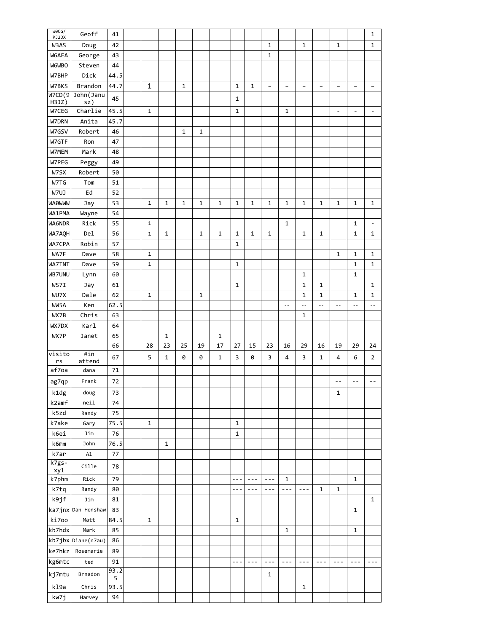| WOCG/<br>PJ2DX   | Geoff              | 41        |              |              |              |    |              |              |              |                   |                          |                          |                   |                              |                   | 1                        |
|------------------|--------------------|-----------|--------------|--------------|--------------|----|--------------|--------------|--------------|-------------------|--------------------------|--------------------------|-------------------|------------------------------|-------------------|--------------------------|
| W3AS             | Doug               | 42        |              |              |              |    |              |              |              | 1                 |                          | 1                        |                   | $\mathbf{1}$                 |                   | 1                        |
| W6AEA            | George             | 43        |              |              |              |    |              |              |              | 1                 |                          |                          |                   |                              |                   |                          |
| <b>W6WBO</b>     | Steven             | 44        |              |              |              |    |              |              |              |                   |                          |                          |                   |                              |                   |                          |
| W7BHP            | Dick               | 44.5      |              |              |              |    |              |              |              |                   |                          |                          |                   |                              |                   |                          |
| W7BKS            | Brandon            | 44.7      | 1            |              | 1            |    |              | 1            | 1            | $\qquad \qquad -$ | $\overline{\phantom{0}}$ | $\overline{\phantom{a}}$ | $\qquad \qquad -$ |                              | $\qquad \qquad -$ | $\qquad \qquad -$        |
| W7CD(9)          | John (Janu         | 45        |              |              |              |    |              | $\mathbf 1$  |              |                   |                          |                          |                   |                              |                   |                          |
| H3JZ)            | sz)                |           |              |              |              |    |              |              |              |                   |                          |                          |                   |                              |                   |                          |
| W7CEG            | Charlie            | 45.5      | $\mathbf{1}$ |              |              |    |              | 1            |              |                   | 1                        |                          |                   | $\qquad \qquad \blacksquare$ | $\qquad \qquad -$ | $\overline{\phantom{0}}$ |
| W7DRN            | Anita              | 45.7      |              |              |              |    |              |              |              |                   |                          |                          |                   |                              |                   |                          |
| W7GSV            | Robert             | 46        |              |              | $\mathbf{1}$ | 1  |              |              |              |                   |                          |                          |                   |                              |                   |                          |
| W7GTF            | Ron                | 47        |              |              |              |    |              |              |              |                   |                          |                          |                   |                              |                   |                          |
| W7MEM            | Mark               | 48        |              |              |              |    |              |              |              |                   |                          |                          |                   |                              |                   |                          |
| W7PEG            | Peggy              | 49        |              |              |              |    |              |              |              |                   |                          |                          |                   |                              |                   |                          |
| W7SX             | Robert             | 50        |              |              |              |    |              |              |              |                   |                          |                          |                   |                              |                   |                          |
| W7TG             | Tom                | 51        |              |              |              |    |              |              |              |                   |                          |                          |                   |                              |                   |                          |
| W7UJ             | Ed                 | 52        |              |              |              |    |              |              |              |                   |                          |                          |                   |                              |                   |                          |
| <b>WAOWWW</b>    | Jay                | 53        | $\mathbf{1}$ | 1            | $\mathbf 1$  | 1  | 1            | $\mathbf 1$  | 1            | 1                 | 1                        | 1                        | 1                 | 1                            | 1                 | $\mathbf{1}$             |
| WA1PMA           | Wayne              | 54        |              |              |              |    |              |              |              |                   |                          |                          |                   |                              |                   |                          |
| WA6NDR           | Rick               | 55        | $\mathbf{1}$ |              |              |    |              |              |              |                   | 1                        |                          |                   |                              | 1                 | $\overline{\phantom{a}}$ |
| WA7AQH           | Del                | 56        | $\mathbf{1}$ | $\mathbf{1}$ |              | 1  | $\mathbf{1}$ | $\mathbf 1$  | $\mathbf{1}$ | 1                 |                          | $\mathbf 1$              | 1                 |                              | 1                 | $\mathbf{1}$             |
|                  | Robin              | 57        |              |              |              |    |              | $\mathbf 1$  |              |                   |                          |                          |                   |                              |                   |                          |
| WA7CPA           |                    |           |              |              |              |    |              |              |              |                   |                          |                          |                   |                              |                   |                          |
| WA7F             | Dave               | 58        | $\mathbf{1}$ |              |              |    |              |              |              |                   |                          |                          |                   | $\mathbf{1}$                 | 1                 | 1                        |
| WA7TNT           | Dave               | 59        | 1            |              |              |    |              | 1            |              |                   |                          |                          |                   |                              | 1                 | 1                        |
| WB7UNU           | Lynn               | 60        |              |              |              |    |              |              |              |                   |                          | $\mathbf 1$              |                   |                              | 1                 |                          |
| WS7I             | Jay                | 61        |              |              |              |    |              | 1            |              |                   |                          | 1                        | 1                 |                              |                   | 1                        |
| WU7X             | Dale               | 62        | $\mathbf{1}$ |              |              | 1  |              |              |              |                   |                          | $\mathbf 1$              | 1                 |                              | 1                 | $\mathbf 1$              |
| WW5A             | Ken                | 62.5      |              |              |              |    |              |              |              |                   | $\sim$ $\sim$            | $\sim$ $\sim$            | $\overline{a}$    | $\sim$ $\sim$                | $\sim$ $-$        | $\ddotsc$                |
|                  |                    |           |              |              |              |    |              |              |              |                   |                          |                          |                   |                              |                   |                          |
| WX7B             | Chris              | 63        |              |              |              |    |              |              |              |                   |                          | $\mathbf{1}$             |                   |                              |                   |                          |
| WX7DX            | Karl               | 64        |              |              |              |    |              |              |              |                   |                          |                          |                   |                              |                   |                          |
| WX7P             | Janet              | 65        |              | $\mathbf{1}$ |              |    | 1            |              |              |                   |                          |                          |                   |                              |                   |                          |
|                  |                    | 66        | 28           | 23           | 25           | 19 | 17           | 27           | 15           | 23                | 16                       | 29                       | 16                | 19                           | 29                | 24                       |
| visito<br>rs     | #in                | 67        | 5            | 1            | 0            | 0  | 1            | 3            | 0            | 3                 | 4                        | 3                        | 1                 | 4                            | 6                 | $\overline{2}$           |
| af7oa            | attend<br>dana     | 71        |              |              |              |    |              |              |              |                   |                          |                          |                   |                              |                   |                          |
|                  | Frank              | 72        |              |              |              |    |              |              |              |                   |                          |                          |                   | $- -$                        | $ -$              | $ -$                     |
| ag7qp            |                    |           |              |              |              |    |              |              |              |                   |                          |                          |                   |                              |                   |                          |
| k1dg             | doug               | 73        |              |              |              |    |              |              |              |                   |                          |                          |                   | $\mathbf{1}$                 |                   |                          |
| k2amf            | nei1               | 74        |              |              |              |    |              |              |              |                   |                          |                          |                   |                              |                   |                          |
| k5zd             | Randy              | 75        |              |              |              |    |              |              |              |                   |                          |                          |                   |                              |                   |                          |
| k7ake            | Gary               | 75.5      | $\mathbf{1}$ |              |              |    |              | 1            |              |                   |                          |                          |                   |                              |                   |                          |
| k6ei             | Jim                | 76        |              |              |              |    |              | $\mathbf 1$  |              |                   |                          |                          |                   |                              |                   |                          |
| k6mm             | John               | 76.5      |              | $\mathbf{1}$ |              |    |              |              |              |                   |                          |                          |                   |                              |                   |                          |
| k7ar<br>$k7gs -$ | Al                 | 77        |              |              |              |    |              |              |              |                   |                          |                          |                   |                              |                   |                          |
| xyl              | Cille              | 78        |              |              |              |    |              |              |              |                   |                          |                          |                   |                              |                   |                          |
| k7phm            | Rick               | 79        |              |              |              |    |              |              |              |                   | $\mathbf{1}$             |                          |                   |                              | 1                 |                          |
| k7tq             | Randy              | 80        |              |              |              |    |              | ---          | $- - -$      | $- - -$           | $---$                    | $  -$                    | 1                 | $\mathbf{1}$                 |                   |                          |
| k9jf             | Jim                | 81        |              |              |              |    |              |              |              |                   |                          |                          |                   |                              |                   | $\mathbf 1$              |
|                  | ka7jnx Dan Henshaw | 83        |              |              |              |    |              |              |              |                   |                          |                          |                   |                              | 1                 |                          |
| ki7oo            | Matt               | 84.5      | $\mathbf 1$  |              |              |    |              | $\mathbf{1}$ |              |                   |                          |                          |                   |                              |                   |                          |
| kb7hdx           | Mark               | 85        |              |              |              |    |              |              |              |                   | $\mathbf{1}$             |                          |                   |                              | 1                 |                          |
|                  | kb7jbx Diane(n7au) | 86        |              |              |              |    |              |              |              |                   |                          |                          |                   |                              |                   |                          |
| ke7hkz           | Rosemarie          | 89        |              |              |              |    |              |              |              |                   |                          |                          |                   |                              |                   |                          |
| kg6mtc           | ted                | 91        |              |              |              |    |              | $- - -$      | $- - -$      | $- - -$           | $- - -$                  | $- - -$                  | $- - -$           | $- - -$                      | $- - -$           | $- - -$                  |
| kj7mtu           | Brnadon            | 93.2<br>5 |              |              |              |    |              |              |              | $\mathbf{1}$      |                          |                          |                   |                              |                   |                          |
| kl9a             | ${\sf Chris}$      | 93.5      |              |              |              |    |              |              |              |                   |                          | $\mathbf{1}$             |                   |                              |                   |                          |